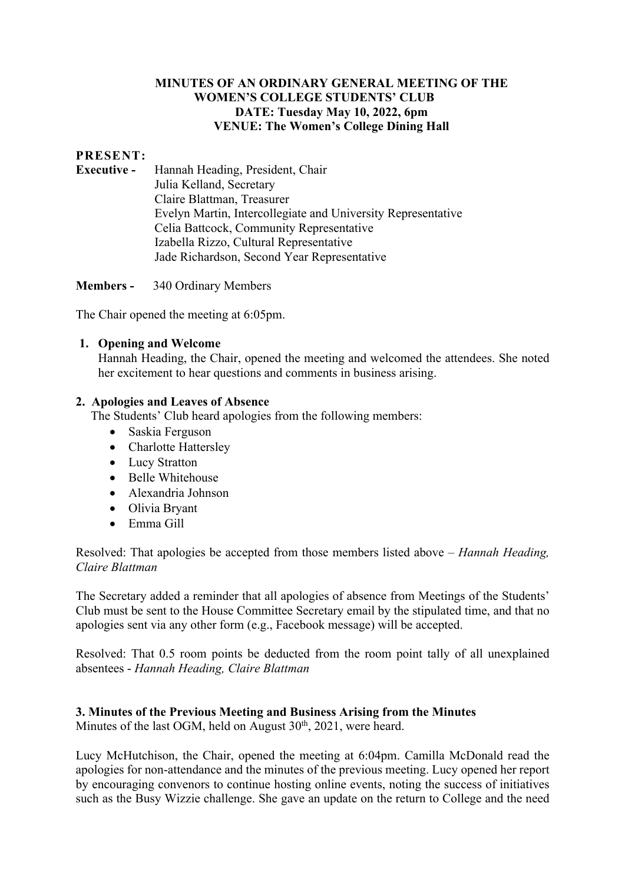# **MINUTES OF AN ORDINARY GENERAL MEETING OF THE WOMEN'S COLLEGE STUDENTS' CLUB DATE: Tuesday May 10, 2022, 6pm VENUE: The Women's College Dining Hall**

# **PRESENT:**

**Executive -** Hannah Heading, President, Chair Julia Kelland, Secretary Claire Blattman, Treasurer Evelyn Martin, Intercollegiate and University Representative Celia Battcock, Community Representative Izabella Rizzo, Cultural Representative Jade Richardson, Second Year Representative

**Members -** 340 Ordinary Members

The Chair opened the meeting at 6:05pm.

#### **1. Opening and Welcome**

Hannah Heading, the Chair, opened the meeting and welcomed the attendees. She noted her excitement to hear questions and comments in business arising.

#### **2. Apologies and Leaves of Absence**

The Students' Club heard apologies from the following members:

- Saskia Ferguson
- Charlotte Hattersley
- Lucy Stratton
- Belle Whitehouse
- Alexandria Johnson
- Olivia Bryant
- Emma Gill

Resolved: That apologies be accepted from those members listed above *– Hannah Heading, Claire Blattman*

The Secretary added a reminder that all apologies of absence from Meetings of the Students' Club must be sent to the House Committee Secretary email by the stipulated time, and that no apologies sent via any other form (e.g., Facebook message) will be accepted.

Resolved: That 0.5 room points be deducted from the room point tally of all unexplained absentees - *Hannah Heading, Claire Blattman*

### **3. Minutes of the Previous Meeting and Business Arising from the Minutes**

Minutes of the last OGM, held on August  $30<sup>th</sup>$ ,  $2021$ , were heard.

Lucy McHutchison, the Chair, opened the meeting at 6:04pm. Camilla McDonald read the apologies for non-attendance and the minutes of the previous meeting. Lucy opened her report by encouraging convenors to continue hosting online events, noting the success of initiatives such as the Busy Wizzie challenge. She gave an update on the return to College and the need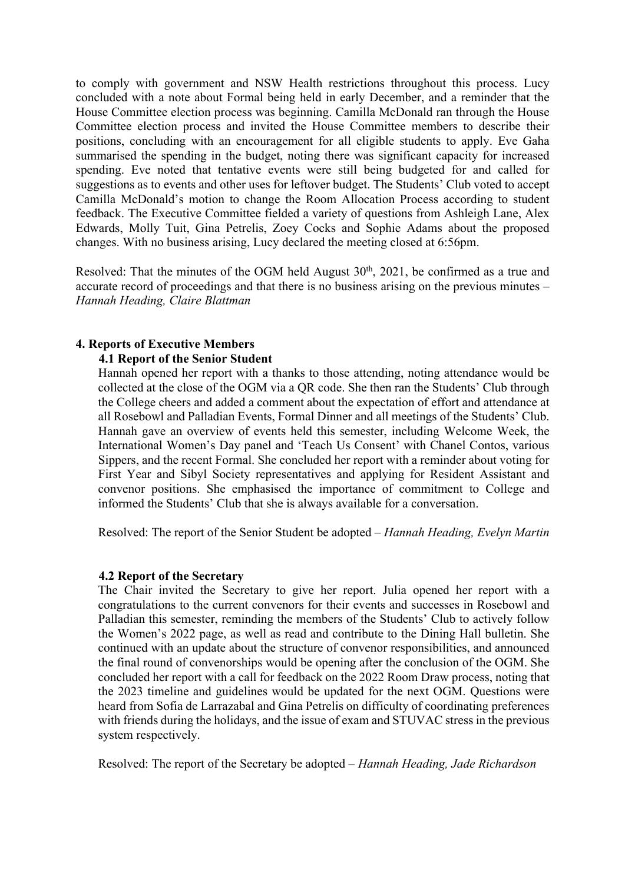to comply with government and NSW Health restrictions throughout this process. Lucy concluded with a note about Formal being held in early December, and a reminder that the House Committee election process was beginning. Camilla McDonald ran through the House Committee election process and invited the House Committee members to describe their positions, concluding with an encouragement for all eligible students to apply. Eve Gaha summarised the spending in the budget, noting there was significant capacity for increased spending. Eve noted that tentative events were still being budgeted for and called for suggestions as to events and other uses for leftover budget. The Students' Club voted to accept Camilla McDonald's motion to change the Room Allocation Process according to student feedback. The Executive Committee fielded a variety of questions from Ashleigh Lane, Alex Edwards, Molly Tuit, Gina Petrelis, Zoey Cocks and Sophie Adams about the proposed changes. With no business arising, Lucy declared the meeting closed at 6:56pm.

Resolved: That the minutes of the OGM held August  $30<sup>th</sup>$ ,  $2021$ , be confirmed as a true and accurate record of proceedings and that there is no business arising on the previous minutes – *Hannah Heading, Claire Blattman*

### **4. Reports of Executive Members**

#### **4.1 Report of the Senior Student**

Hannah opened her report with a thanks to those attending, noting attendance would be collected at the close of the OGM via a QR code. She then ran the Students' Club through the College cheers and added a comment about the expectation of effort and attendance at all Rosebowl and Palladian Events, Formal Dinner and all meetings of the Students' Club. Hannah gave an overview of events held this semester, including Welcome Week, the International Women's Day panel and 'Teach Us Consent' with Chanel Contos, various Sippers, and the recent Formal. She concluded her report with a reminder about voting for First Year and Sibyl Society representatives and applying for Resident Assistant and convenor positions. She emphasised the importance of commitment to College and informed the Students' Club that she is always available for a conversation.

Resolved: The report of the Senior Student be adopted – *Hannah Heading, Evelyn Martin*

#### **4.2 Report of the Secretary**

The Chair invited the Secretary to give her report. Julia opened her report with a congratulations to the current convenors for their events and successes in Rosebowl and Palladian this semester, reminding the members of the Students' Club to actively follow the Women's 2022 page, as well as read and contribute to the Dining Hall bulletin. She continued with an update about the structure of convenor responsibilities, and announced the final round of convenorships would be opening after the conclusion of the OGM. She concluded her report with a call for feedback on the 2022 Room Draw process, noting that the 2023 timeline and guidelines would be updated for the next OGM. Questions were heard from Sofia de Larrazabal and Gina Petrelis on difficulty of coordinating preferences with friends during the holidays, and the issue of exam and STUVAC stress in the previous system respectively.

Resolved: The report of the Secretary be adopted – *Hannah Heading, Jade Richardson*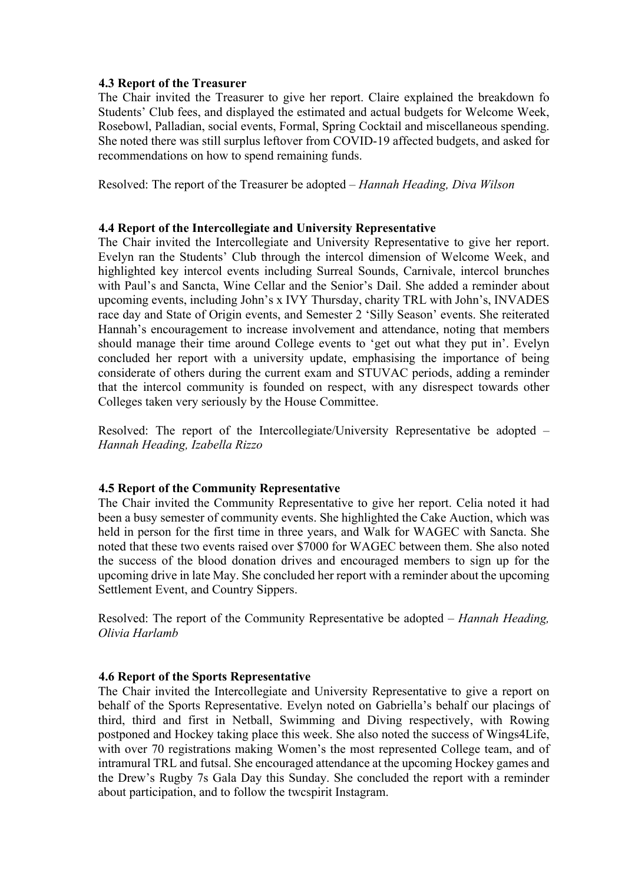### **4.3 Report of the Treasurer**

The Chair invited the Treasurer to give her report. Claire explained the breakdown fo Students' Club fees, and displayed the estimated and actual budgets for Welcome Week, Rosebowl, Palladian, social events, Formal, Spring Cocktail and miscellaneous spending. She noted there was still surplus leftover from COVID-19 affected budgets, and asked for recommendations on how to spend remaining funds.

Resolved: The report of the Treasurer be adopted – *Hannah Heading, Diva Wilson* 

# **4.4 Report of the Intercollegiate and University Representative**

The Chair invited the Intercollegiate and University Representative to give her report. Evelyn ran the Students' Club through the intercol dimension of Welcome Week, and highlighted key intercol events including Surreal Sounds, Carnivale, intercol brunches with Paul's and Sancta, Wine Cellar and the Senior's Dail. She added a reminder about upcoming events, including John's x IVY Thursday, charity TRL with John's, INVADES race day and State of Origin events, and Semester 2 'Silly Season' events. She reiterated Hannah's encouragement to increase involvement and attendance, noting that members should manage their time around College events to 'get out what they put in'. Evelyn concluded her report with a university update, emphasising the importance of being considerate of others during the current exam and STUVAC periods, adding a reminder that the intercol community is founded on respect, with any disrespect towards other Colleges taken very seriously by the House Committee.

Resolved: The report of the Intercollegiate/University Representative be adopted – *Hannah Heading, Izabella Rizzo*

### **4.5 Report of the Community Representative**

The Chair invited the Community Representative to give her report. Celia noted it had been a busy semester of community events. She highlighted the Cake Auction, which was held in person for the first time in three years, and Walk for WAGEC with Sancta. She noted that these two events raised over \$7000 for WAGEC between them. She also noted the success of the blood donation drives and encouraged members to sign up for the upcoming drive in late May. She concluded her report with a reminder about the upcoming Settlement Event, and Country Sippers.

Resolved: The report of the Community Representative be adopted – *Hannah Heading, Olivia Harlamb*

### **4.6 Report of the Sports Representative**

The Chair invited the Intercollegiate and University Representative to give a report on behalf of the Sports Representative. Evelyn noted on Gabriella's behalf our placings of third, third and first in Netball, Swimming and Diving respectively, with Rowing postponed and Hockey taking place this week. She also noted the success of Wings4Life, with over 70 registrations making Women's the most represented College team, and of intramural TRL and futsal. She encouraged attendance at the upcoming Hockey games and the Drew's Rugby 7s Gala Day this Sunday. She concluded the report with a reminder about participation, and to follow the twcspirit Instagram.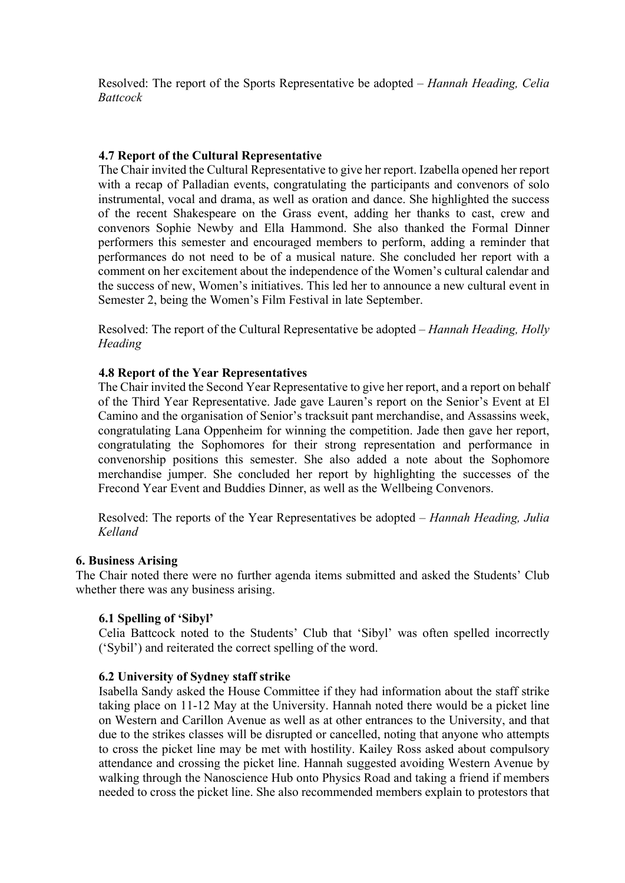Resolved: The report of the Sports Representative be adopted – *Hannah Heading, Celia Battcock*

# **4.7 Report of the Cultural Representative**

The Chair invited the Cultural Representative to give her report. Izabella opened her report with a recap of Palladian events, congratulating the participants and convenors of solo instrumental, vocal and drama, as well as oration and dance. She highlighted the success of the recent Shakespeare on the Grass event, adding her thanks to cast, crew and convenors Sophie Newby and Ella Hammond. She also thanked the Formal Dinner performers this semester and encouraged members to perform, adding a reminder that performances do not need to be of a musical nature. She concluded her report with a comment on her excitement about the independence of the Women's cultural calendar and the success of new, Women's initiatives. This led her to announce a new cultural event in Semester 2, being the Women's Film Festival in late September.

Resolved: The report of the Cultural Representative be adopted – *Hannah Heading, Holly Heading*

# **4.8 Report of the Year Representatives**

The Chair invited the Second Year Representative to give her report, and a report on behalf of the Third Year Representative. Jade gave Lauren's report on the Senior's Event at El Camino and the organisation of Senior's tracksuit pant merchandise, and Assassins week, congratulating Lana Oppenheim for winning the competition. Jade then gave her report, congratulating the Sophomores for their strong representation and performance in convenorship positions this semester. She also added a note about the Sophomore merchandise jumper. She concluded her report by highlighting the successes of the Frecond Year Event and Buddies Dinner, as well as the Wellbeing Convenors.

Resolved: The reports of the Year Representatives be adopted – *Hannah Heading, Julia Kelland*

### **6. Business Arising**

The Chair noted there were no further agenda items submitted and asked the Students' Club whether there was any business arising.

### **6.1 Spelling of 'Sibyl'**

Celia Battcock noted to the Students' Club that 'Sibyl' was often spelled incorrectly ('Sybil') and reiterated the correct spelling of the word.

### **6.2 University of Sydney staff strike**

Isabella Sandy asked the House Committee if they had information about the staff strike taking place on 11-12 May at the University. Hannah noted there would be a picket line on Western and Carillon Avenue as well as at other entrances to the University, and that due to the strikes classes will be disrupted or cancelled, noting that anyone who attempts to cross the picket line may be met with hostility. Kailey Ross asked about compulsory attendance and crossing the picket line. Hannah suggested avoiding Western Avenue by walking through the Nanoscience Hub onto Physics Road and taking a friend if members needed to cross the picket line. She also recommended members explain to protestors that